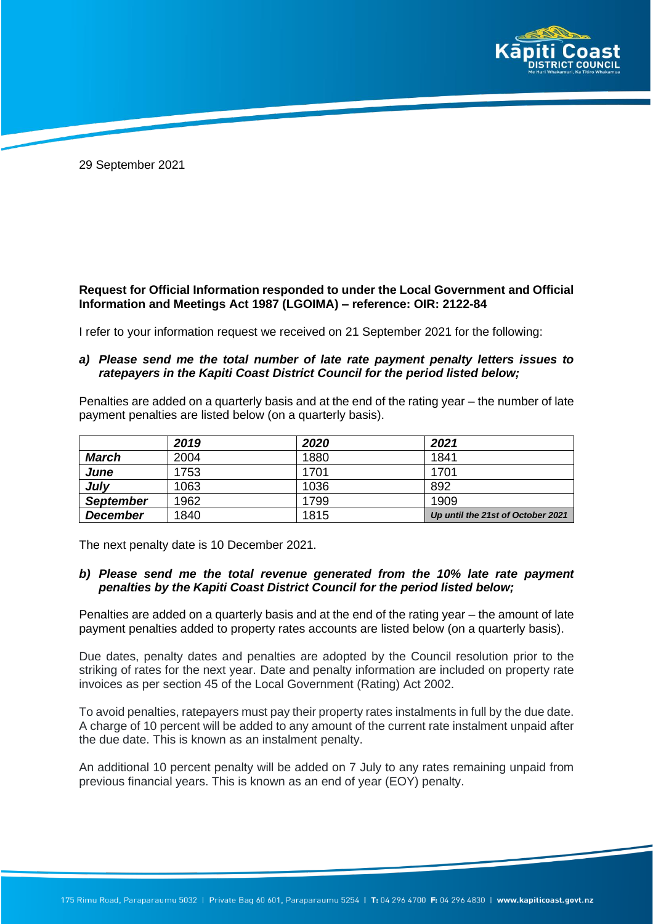

29 September 2021

## **Request for Official Information responded to under the Local Government and Official Information and Meetings Act 1987 (LGOIMA) – reference: OIR: 2122-84**

I refer to your information request we received on 21 September 2021 for the following:

## *a) Please send me the total number of late rate payment penalty letters issues to ratepayers in the Kapiti Coast District Council for the period listed below;*

Penalties are added on a quarterly basis and at the end of the rating year – the number of late payment penalties are listed below (on a quarterly basis).

|                  | 2019 | 2020 | 2021                              |
|------------------|------|------|-----------------------------------|
| March            | 2004 | 1880 | 1841                              |
| June             | 1753 | 1701 | 1701                              |
| July             | 1063 | 1036 | 892                               |
| <b>September</b> | 1962 | 1799 | 1909                              |
| <b>December</b>  | 1840 | 1815 | Up until the 21st of October 2021 |

The next penalty date is 10 December 2021.

## *b) Please send me the total revenue generated from the 10% late rate payment penalties by the Kapiti Coast District Council for the period listed below;*

Penalties are added on a quarterly basis and at the end of the rating year – the amount of late payment penalties added to property rates accounts are listed below (on a quarterly basis).

Due dates, penalty dates and penalties are adopted by the Council resolution prior to the striking of rates for the next year. Date and penalty information are included on property rate invoices as per section 45 of the Local Government (Rating) Act 2002.

To avoid penalties, ratepayers must pay their property rates instalments in full by the due date. A charge of 10 percent will be added to any amount of the current rate instalment unpaid after the due date. This is known as an instalment penalty.

An additional 10 percent penalty will be added on 7 July to any rates remaining unpaid from previous financial years. This is known as an end of year (EOY) penalty.